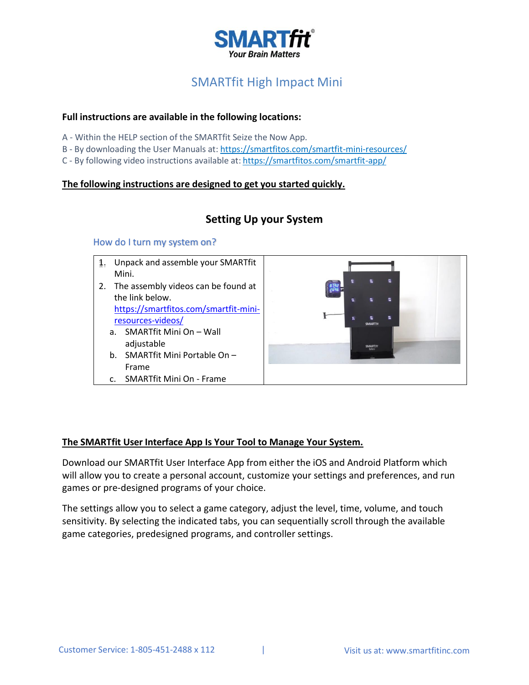

# SMARTfit High Impact Mini

# **Full instructions are available in the following locations:**

- A Within the HELP section of the SMARTfit Seize the Now App.
- B By downloading the User Manuals at: <https://smartfitos.com/smartfit-mini-resources/>
- C By following video instructions available at: <https://smartfitos.com/smartfit-app/>

# **The following instructions are designed to get you started quickly.**

# **Setting Up your System**

### How do I turn my system on?

- 1. Unpack and assemble your SMARTfit Mini.
- 2. The assembly videos can be found at the link below. [https://smartfitos.com/smartfit-mini](https://smartfitos.com/smartfit-mini-resources-videos/)[resources-videos/](https://smartfitos.com/smartfit-mini-resources-videos/)
	- a. SMARTfit Mini On Wall adjustable
	- b. SMARTfit Mini Portable On Frame
- c. SMARTfit Mini On Frame



# **The SMARTfit User Interface App Is Your Tool to Manage Your System.**

Download our SMARTfit User Interface App from either the iOS and Android Platform which will allow you to create a personal account, customize your settings and preferences, and run games or pre-designed programs of your choice.

The settings allow you to select a game category, adjust the level, time, volume, and touch sensitivity. By selecting the indicated tabs, you can sequentially scroll through the available game categories, predesigned programs, and controller settings.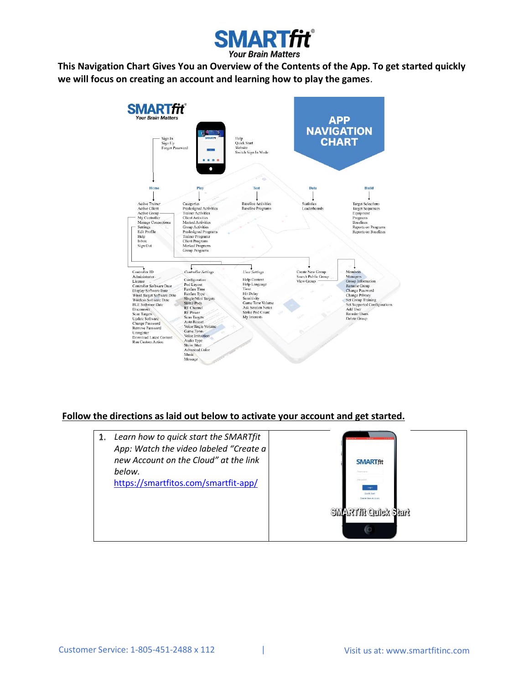

**This Navigation Chart Gives You an Overview of the Contents of the App. To get started quickly we will focus on creating an account and learning how to play the games**.



# **Follow the directions as laid out below to activate your account and get started.**

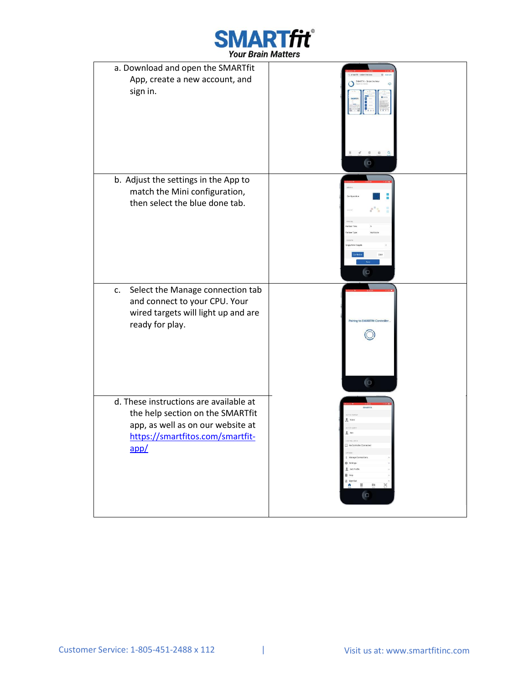

| a. Download and open the SMARTfit<br>App, create a new account, and                                                                                         |                                                                                                                  |
|-------------------------------------------------------------------------------------------------------------------------------------------------------------|------------------------------------------------------------------------------------------------------------------|
| sign in.                                                                                                                                                    |                                                                                                                  |
|                                                                                                                                                             | <b>O</b>                                                                                                         |
| b. Adjust the settings in the App to<br>match the Mini configuration,<br>then select the blue done tab.                                                     | Multicolo<br>l a                                                                                                 |
| Select the Manage connection tab<br>c.<br>and connect to your CPU. Your<br>wired targets will light up and are<br>ready for play.                           | Pairing to SMARTfit Controller.<br>$\overline{C}$                                                                |
| d. These instructions are available at<br>the help section on the SMARTfit<br>app, as well as on our website at<br>https://smartfitos.com/smartfit-<br>app/ | * Manage Connections<br><b>卷 Settings</b><br>Edit Profile<br>图 Heip<br>g sign Out<br>м<br>$\pmb{\hat{n}}$<br>l a |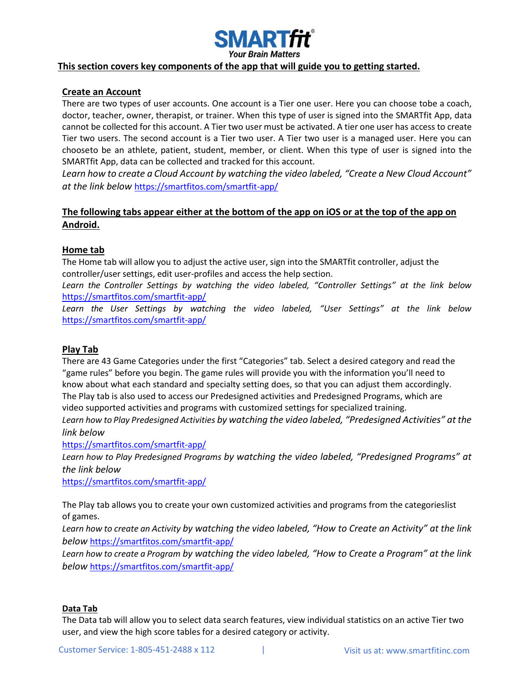

#### **This section covers key components of the app that will guide you to getting started.**

#### **Create an Account**

There are two types of user accounts. One account is a Tier one user. Here you can choose tobe a coach, doctor, teacher, owner, therapist, or trainer. When this type of user is signed into the SMARTfit App, data cannot be collected for this account. A Tier two user must be activated. A tier one user has access to create Tier two users. The second account is a Tier two user. A Tier two user is a managed user. Here you can chooseto be an athlete, patient, student, member, or client. When this type of user is signed into the SMARTfit App, data can be collected and tracked for this account.

*Learn how to create a Cloud Account by watching the video labeled, "Create a New Cloud Account" at the link below* <https://smartfitos.com/smartfit-app/>

# **The following tabs appear either at the bottom of the app on iOS or at the top of the app on Android.**

#### **Home tab**

The Home tab will allow you to adjust the active user, sign into the SMARTfit controller, adjust the controller/user settings, edit user-profiles and access the help section.

*Learn the Controller Settings by watching the video labeled, "Controller Settings" at the link below* <https://smartfitos.com/smartfit-app/>

*Learn the User Settings by watching the video labeled, "User Settings" at the link below* <https://smartfitos.com/smartfit-app/>

#### **Play Tab**

There are 43 Game Categories under the first "Categories" tab. Select a desired category and read the "game rules" before you begin. The game rules will provide you with the information you'll need to know about what each standard and specialty setting does, so that you can adjust them accordingly. The Play tab is also used to access our Predesigned activities and Predesigned Programs, which are video supported activities and programs with customized settings for specialized training.

*Learn how to Play Predesigned Activities by watching the video labeled, "Predesigned Activities" at the link below*

<https://smartfitos.com/smartfit-app/>

*Learn how to Play Predesigned Programs by watching the video labeled, "Predesigned Programs" at the link below*

<https://smartfitos.com/smartfit-app/>

The Play tab allows you to create your own customized activities and programs from the categorieslist of games.

*Learn how to create an Activity by watching the video labeled, "How to Create an Activity" at the link below* <https://smartfitos.com/smartfit-app/>

*Learn how to create a Program by watching the video labeled, "How to Create a Program" at the link below* <https://smartfitos.com/smartfit-app/>

#### **Data Tab**

The Data tab will allow you to select data search features, view individual statistics on an active Tier two user, and view the high score tables for a desired category or activity.